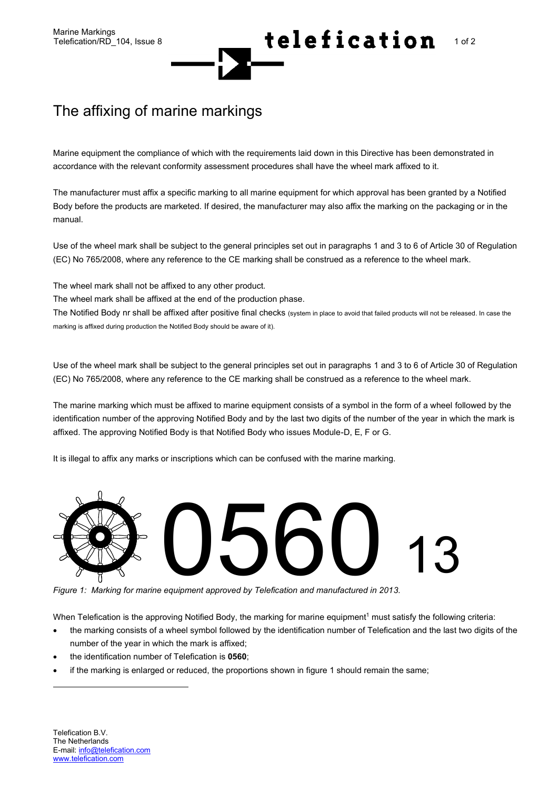## Marine Markings<br>Telefication/RD\_104, Issue 8 **1 of 2** telefication/RD\_104, Issue 8

## The affixing of marine markings

Marine equipment the compliance of which with the requirements laid down in this Directive has been demonstrated in accordance with the relevant conformity assessment procedures shall have the wheel mark affixed to it.

The manufacturer must affix a specific marking to all marine equipment for which approval has been granted by a Notified Body before the products are marketed. If desired, the manufacturer may also affix the marking on the packaging or in the manual.

Use of the wheel mark shall be subject to the general principles set out in paragraphs 1 and 3 to 6 of Article 30 of Regulation (EC) No 765/2008, where any reference to the CE marking shall be construed as a reference to the wheel mark.

The wheel mark shall not be affixed to any other product.

The wheel mark shall be affixed at the end of the production phase.

The Notified Body nr shall be affixed after positive final checks (system in place to avoid that failed products will not be released. In case the marking is affixed during production the Notified Body should be aware of it).

Use of the wheel mark shall be subject to the general principles set out in paragraphs 1 and 3 to 6 of Article 30 of Regulation (EC) No 765/2008, where any reference to the CE marking shall be construed as a reference to the wheel mark.

The marine marking which must be affixed to marine equipment consists of a symbol in the form of a wheel followed by the identification number of the approving Notified Body and by the last two digits of the number of the year in which the mark is affixed. The approving Notified Body is that Notified Body who issues Module-D, E, F or G.

It is illegal to affix any marks or inscriptions which can be confused with the marine marking.



*Figure 1: Marking for marine equipment approved by Telefication and manufactured in 2013.*

When Telefication is the approving Notified Body, the marking for marine equipment<sup>1</sup> must satisfy the following criteria:

- the marking consists of a wheel symbol followed by the identification number of Telefication and the last two digits of the number of the year in which the mark is affixed;
- the identification number of Telefication is **0560**;
- if the marking is enlarged or reduced, the proportions shown in figure 1 should remain the same;